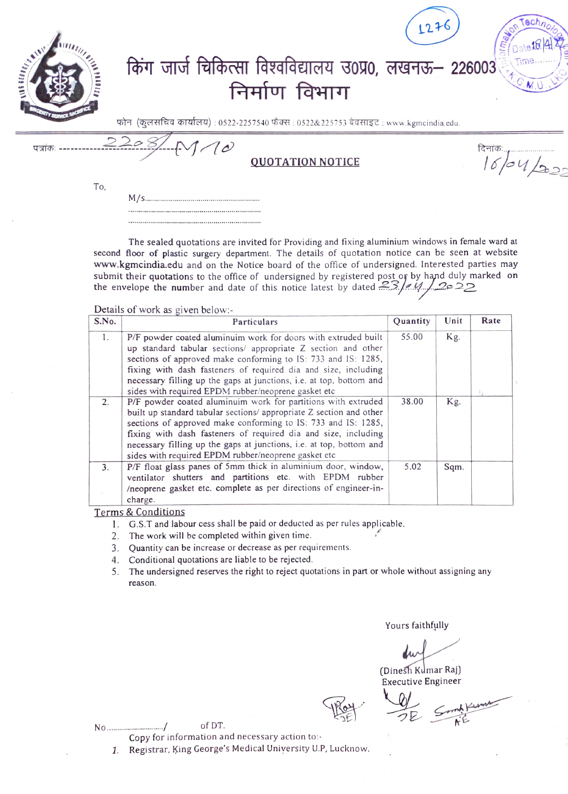| a proper |      | किंग जार्ज चिकित्सा विश्वविद्यालय उ0प्र0, लखनऊ– 226003<br>निर्माण विभाग                | 1276          |
|----------|------|----------------------------------------------------------------------------------------|---------------|
|          |      | फोन (कुलसचिव कार्यालय) : 0522-2257540 फैक्स : 0522&225753 बेवसाइट : www.kgmcindia.edu. |               |
| पत्रांकः | 2208 | <b>OUOTATION NOTICE</b>                                                                | दिनांकः<br>22 |

The sealed quotations are invited for Providing and fixing aluminium windows in female ward at second floor of plastic surgery department. The details of quotation notice can be seen at website www.kgmcindia.edu and on the Notice board of the office of undersigned. Interested parties may submit their quotations to the office of undersigned by registered post or by hand duly marked on the envelope the number and date of this notice latest by dated  $23/d\sqrt{20.22}$ the envelope the number and date of this notice latest by dated  $23/64$ ....2020

Details of work as given below:-

 $M/\varsigma$ 

To,

| S.No. | Particulars                                                                                                                                                                                                                                                                                                                                                                                           | Quantity | Unit | Rate |
|-------|-------------------------------------------------------------------------------------------------------------------------------------------------------------------------------------------------------------------------------------------------------------------------------------------------------------------------------------------------------------------------------------------------------|----------|------|------|
| 1.    | P/F powder coated aluminuim work for doors with extruded built<br>up standard tabular sections/ appropriate Z section and other<br>sections of approved make conforming to IS: 733 and IS: 1285,<br>fixing with dash fasteners of required dia and size, including<br>necessary filling up the gaps at junctions, i.e. at top, bottom and<br>sides with required EPDM rubber/neoprene gasket etc      | 55.00    | Kg.  |      |
| 2.    | P/F powder coated aluminuim work for partitions with extruded<br>built up standard tabular sections/ appropriate Z section and other<br>sections of approved make conforming to IS: 733 and IS: 1285,<br>fixing with dash fasteners of required dia and size, including<br>necessary filling up the gaps at junctions, i.e. at top, bottom and<br>sides with required EPDM rubber/neoprene gasket etc | 38.00    | Kg.  |      |
| 3.    | P/F float glass panes of 5mm thick in aluminium door, window,<br>ventilator shutters and partitions etc. with EPDM rubber<br>/neoprene gasket etc. complete as per directions of engineer-in-<br>charge.                                                                                                                                                                                              | 5.02     | Sqm. |      |

Terms & Conditions

1. G.S.T and labour cess shall be paid or deducted as per rules applicable.

- 2. The work will be completed within given time.
- 3. Quantity can be increase or decrease as per requirements.
- 4. Conditional quotations are liable to be rejected.
- 5. The undersigned reserves the right to reject quotations in part or whole without assigning any reason.

Yours faithfully

(Dinesh Kumar Raj) Executive Engineer

(Dinesh Kumar Raj)<br>Executive Engineer<br>Roy

No ............................/ of DT.

Copy for information and necessary action to:-

1. Registrar, King George's Medical University U.P, Lucknow.